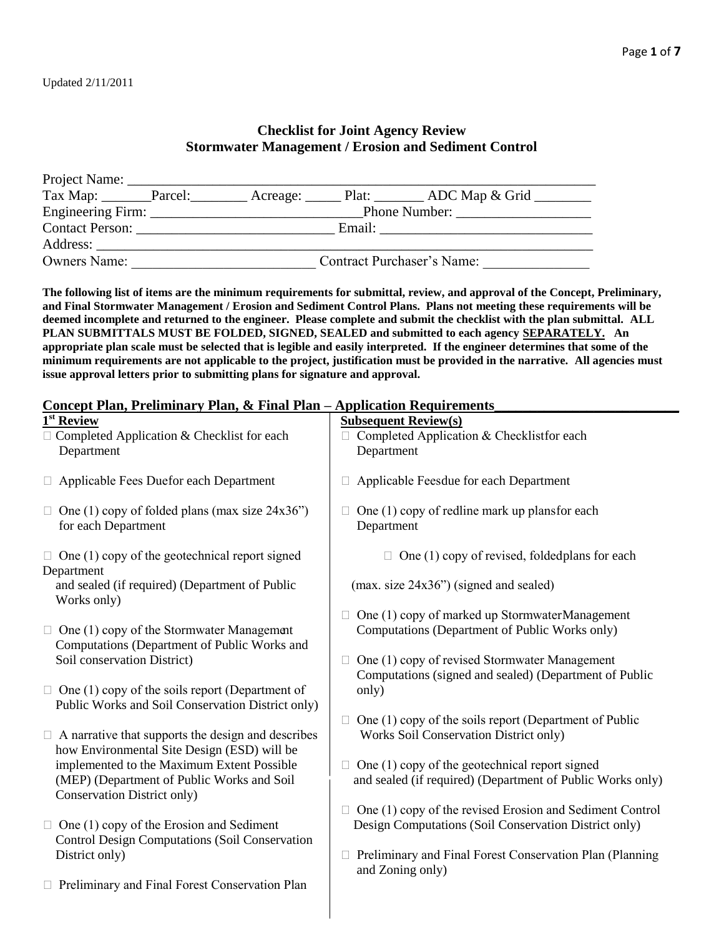# **Checklist for Joint Agency Review Stormwater Management / Erosion and Sediment Control**

|                     | Tax Map: _______Parcel: _________Acreage: ______Plat: ________ADC Map & Grid ________ |
|---------------------|---------------------------------------------------------------------------------------|
|                     | Phone Number:                                                                         |
| Contact Person:     | Email:                                                                                |
| Address:            |                                                                                       |
| <b>Owners Name:</b> | Contract Purchaser's Name:                                                            |

**The following list of items are the minimum requirements for submittal, review, and approval of the Concept, Preliminary, and Final Stormwater Management / Erosion and Sediment Control Plans. Plans not meeting these requirements will be deemed incomplete and returned to the engineer. Please complete and submit the checklist with the plan submittal. ALL PLAN SUBMITTALS MUST BE FOLDED, SIGNED, SEALED and submitted to each agency SEPARATELY. An appropriate plan scale must be selected that is legible and easily interpreted. If the engineer determines that some of the minimum requirements are not applicable to the project, justification must be provided in the narrative. All agencies must issue approval letters prior to submitting plans for signature and approval.**

# 1<sup>st</sup> Review **Subsequent Review(s)**  $\Box$  Completed Application & Checklist for each  $\Box$  Completed Application & Checklist for each Department Department  $\Box$  Applicable Fees Duefor each Department  $\Box$  Applicable Feesdue for each Department  $\Box$  One (1) copy of folded plans (max size 24x36")  $\Box$  One (1) copy of redline mark up plansfor each for each Department Department  $\Box$  One (1) copy of the geotechnical report signed  $\Box$  One (1) copy of revised, foldedplans for each Department and sealed (if required) (Department of Public (max. size 24x36") (signed and sealed) Works only)  $\Box$  One (1) copy of marked up Stormwater Management  $\Box$  One (1) copy of the Stormwater Management Computations (Department of Public Works only) Computations (Department of Public Works and Soil conservation District)  $\Box$  One (1) copy of revised Stormwater Management Computations (signed and sealed) (Department of Public  $\Box$  One (1) copy of the soils report (Department of only) Public Works and Soil Conservation District only)  $\Box$  One (1) copy of the soils report (Department of Public  $\Box$  A narrative that supports the design and describes  $\parallel$  Works Soil Conservation District only) how Environmental Site Design (ESD) will be implemented to the Maximum Extent Possible  $\Box$  One (1) copy of the geotechnical report signed (MEP) (Department of Public Works and Soil and sealed (if required) (Department of Public Works only) Conservation District only)  $\Box$  One (1) copy of the revised Erosion and Sediment Control  $\Box$  One (1) copy of the Erosion and Sediment Design Computations (Soil Conservation District only) Control Design Computations (Soil Conservation District only) **Preliminary and Final Forest Conservation Plan (Planning**  and Zoning only) □ Preliminary and Final Forest Conservation Plan

# **Concept Plan, Preliminary Plan, & Final Plan – Application Requirements\_\_\_\_\_\_\_\_\_\_\_\_\_\_\_\_\_\_\_\_\_\_\_\_\_\_**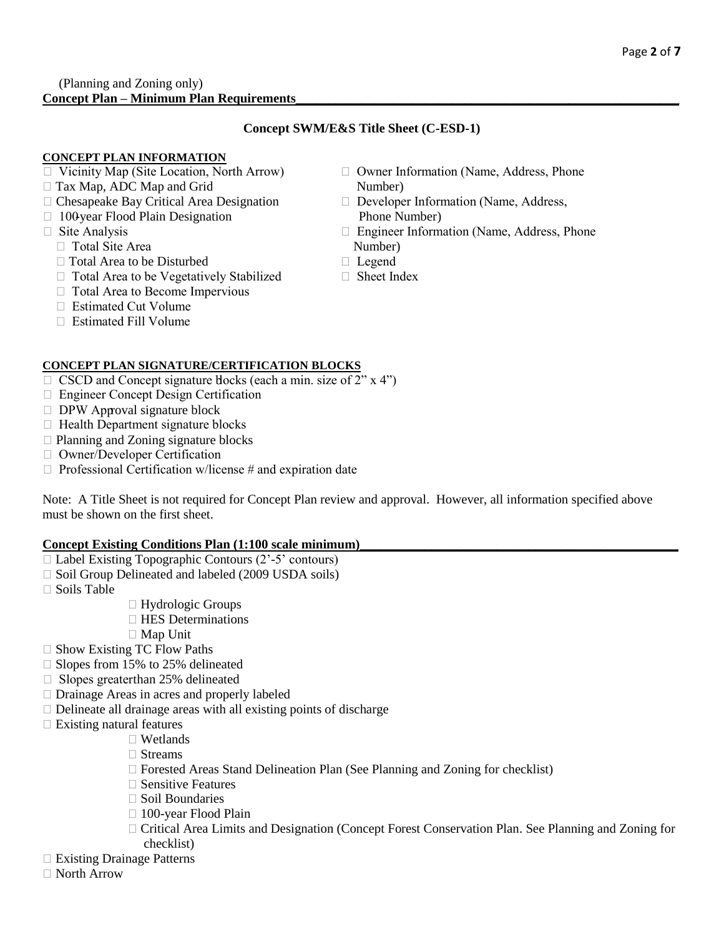#### (Planning and Zoning only) **Concept Plan – Minimum Plan Requirements\_\_\_\_\_\_\_\_\_\_\_\_\_\_\_\_\_\_\_\_\_\_\_\_\_\_\_\_\_\_\_\_\_\_\_\_\_\_\_\_\_\_\_\_\_\_\_\_\_\_\_\_\_\_\_\_\_\_\_**

# **Concept SWM/E&S Title Sheet (C-ESD-1)**

# **CONCEPT PLAN INFORMATION**

- 
- $\Box$  Tax Map, ADC Map and Grid Number)
- $\Box$  Chesapeake Bay Critical Area Designation  $\Box$  Developer Information (Name, Address,
- $\Box$  100-year Flood Plain Designation Phone Number)
- - $\Box$  Total Site Area Number)
	- $\Box$  Total Area to be Disturbed  $\Box$  Legend
	- $\Box$  Total Area to be Vegetatively Stabilized  $\Box$  Sheet Index
	- □ Total Area to Become Impervious
	- $\Box$  Estimated Cut Volume
	- $\Box$  Estimated Fill Volume
- $\Box$  Vicinity Map (Site Location, North Arrow)  $\Box$  Owner Information (Name, Address, Phone
	-
- Site Analysis Engineer Information (Name, Address, Phone
	-
	-

# **CONCEPT PLAN SIGNATURE/CERTIFICATION BLOCKS**

- $\Box$  CSCD and Concept signature blocks (each a min. size of 2" x 4")
- □ Engineer Concept Design Certification
- DPW Approval signature block
- $\Box$  Health Department signature blocks
- $\Box$  Planning and Zoning signature blocks
- Owner/Developer Certification
- $\Box$  Professional Certification w/license # and expiration date

Note: A Title Sheet is not required for Concept Plan review and approval. However, all information specified above must be shown on the first sheet.

#### **Concept Existing Conditions Plan (1:100 scale minimum)**

- $\Box$  Label Existing Topographic Contours (2'-5' contours)
- $\Box$  Soil Group Delineated and labeled (2009 USDA soils)
- □ Soils Table
- □ Hydrologic Groups
- $\Box$  HES Determinations
	- Map Unit
- □ Show Existing TC Flow Paths
- □ Slopes from 15% to 25% delineated
- $\Box$  Slopes greaterthan 25% delineated
- □ Drainage Areas in acres and properly labeled
- $\Box$  Delineate all drainage areas with all existing points of discharge
- $\Box$  Existing natural features
	- □ Wetlands
	- □ Streams
	- $\Box$  Forested Areas Stand Delineation Plan (See Planning and Zoning for checklist)
	- $\Box$  Sensitive Features
	- $\Box$  Soil Boundaries
	- □ 100-year Flood Plain
	- Critical Area Limits and Designation (Concept Forest Conservation Plan. See Planning and Zoning for checklist)
- Existing Drainage Patterns
- North Arrow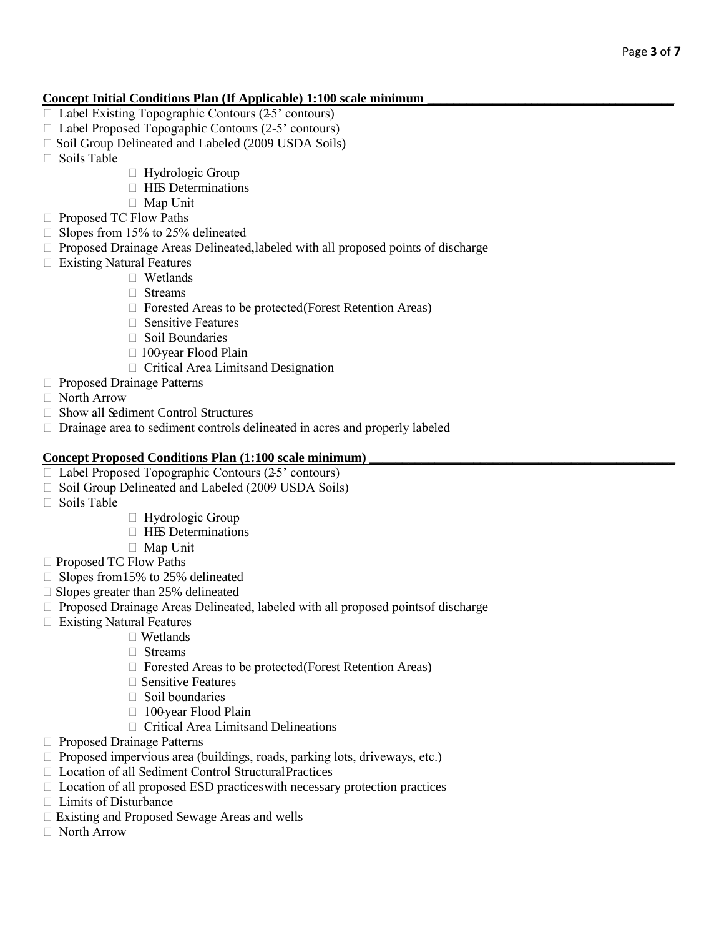## **Concept Initial Conditions Plan (If Applicable) 1:100 scale minimum \_\_\_\_\_\_\_\_\_\_\_\_\_\_\_\_\_\_\_\_\_\_\_\_\_\_\_\_\_\_\_\_\_\_\_\_\_\_**

- $\Box$  Label Existing Topographic Contours (25' contours)
- $\Box$  Label Proposed Topographic Contours (2-5' contours)
- □ Soil Group Delineated and Labeled (2009 USDA Soils)
- $\Box$  Soils Table
- $\Box$  Hydrologic Group
- **HES** Determinations
- □ Map Unit
- □ Proposed TC Flow Paths
- $\Box$  Slopes from 15% to 25% delineated
- $\Box$  Proposed Drainage Areas Delineated, labeled with all proposed points of discharge
- $\Box$  Existing Natural Features
	- □ Wetlands
	- □ Streams
	- $\Box$  Forested Areas to be protected(Forest Retention Areas)
	- $\Box$  Sensitive Features
	- Soil Boundaries
	- $\Box$  100-year Flood Plain
		- □ Critical Area Limitsand Designation
- □ Proposed Drainage Patterns
- North Arrow
- $\Box$  Show all Sediment Control Structures
- $\Box$  Drainage area to sediment controls delineated in acres and properly labeled

#### **Concept Proposed Conditions Plan (1:100 scale minimum)**

- $\Box$  Label Proposed Topographic Contours (2-5' contours)
- $\Box$  Soil Group Delineated and Labeled (2009 USDA Soils)
- $\Box$  Soils Table
- $\Box$  Hydrologic Group
- **HES** Determinations
- Map Unit
- □ Proposed TC Flow Paths
- $\Box$  Slopes from 15% to 25% delineated
- $\square$  Slopes greater than 25% delineated
- $\Box$  Proposed Drainage Areas Delineated, labeled with all proposed points of discharge
- □ Existing Natural Features
	- □ Wetlands
		- □ Streams
		- $\Box$  Forested Areas to be protected(Forest Retention Areas)
		- $\Box$  Sensitive Features
		- $\Box$  Soil boundaries
		- $\Box$  100-year Flood Plain
		- Critical Area Limitsand Delineations
- □ Proposed Drainage Patterns
- $\Box$  Proposed impervious area (buildings, roads, parking lots, driveways, etc.)
- □ Location of all Sediment Control StructuralPractices
- $\Box$  Location of all proposed ESD practices with necessary protection practices
- □ Limits of Disturbance
- Existing and Proposed Sewage Areas and wells
- North Arrow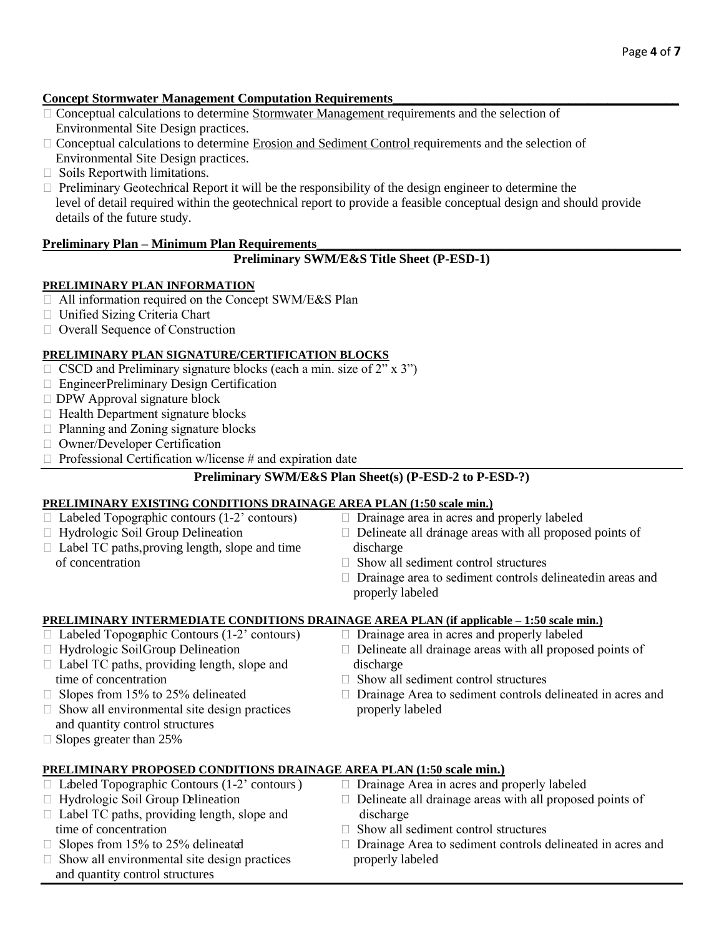#### **Concept Stormwater Management Computation Requirements\_\_\_\_\_\_\_\_\_\_\_\_\_\_\_\_\_\_\_\_\_\_\_\_\_\_\_\_\_\_\_\_\_\_\_\_\_\_\_\_\_\_\_\_**

- Conceptual calculations to determine Stormwater Management requirements and the selection of Environmental Site Design practices.
- □ Conceptual calculations to determine Erosion and Sediment Control requirements and the selection of Environmental Site Design practices.
- $\Box$  Soils Reportwith limitations.
- $\Box$  Preliminary Geotechnical Report it will be the responsibility of the design engineer to determine the level of detail required within the geotechnical report to provide a feasible conceptual design and should provide details of the future study.

# Preliminary Plan – Minimum Plan Requirements

#### **Preliminary SWM/E&S Title Sheet (P-ESD-1)**

#### **PRELIMINARY PLAN INFORMATION**

- □ All information required on the Concept SWM/E&S Plan
- □ Unified Sizing Criteria Chart
- Overall Sequence of Construction

#### **PRELIMINARY PLAN SIGNATURE/CERTIFICATION BLOCKS**

- $\Box$  CSCD and Preliminary signature blocks (each a min. size of 2" x 3")
- Engineer Preliminary Design Certification
- $\Box$  DPW Approval signature block
- $\Box$  Health Department signature blocks
- $\Box$  Planning and Zoning signature blocks
- □ Owner/Developer Certification
- $\Box$  Professional Certification w/license # and expiration date

# **Preliminary SWM/E&S Plan Sheet(s) (P-ESD-2 to P-ESD-?)**

#### **PRELIMINARY EXISTING CONDITIONS DRAINAGE AREA PLAN (1:50 scale min.)**

 $\Box$  Labeled Topographic contours (1-2' contours)  $\Box$  Drainage area in acres and properly labeled  $\Box$  Hydrologic Soil Group Delineation  $\Box$  Delineate all drainage areas with all proposed points of  $\Box$  Label TC paths, proving length, slope and time discharge of concentration Show all sediment control structures  $\Box$  Drainage area to sediment controls delineated in areas and properly labeled

# **PRELIMINARY INTERMEDIATE CONDITIONS DRAINAGE AREA PLAN (if applicable – 1:50 scale min.)** □ Labeled Topographic Contours (1-2' contours) □ Drainage area in acres and properly labeled

- $\Box$  Labeled Topographic Contours (1-2' contours)
- 
- $\Box$  Label TC paths, providing length, slope and discharge time of concentration  $\Box$  Show all sediment control structures
- 
- $\Box$  Show all environmental site design practices properly labeled and quantity control structures
- $\Box$  Slopes greater than 25%
- 
- □ Hydrologic Soil Group Delineation □ Delineate all drainage areas with all proposed points of
	-
- $\Box$  Slopes from 15% to 25% delineated  $\Box$  Drainage Area to sediment controls delineated in acres and

# **PRELIMINARY PROPOSED CONDITIONS DRAINAGE AREA PLAN (1:50 scale min.)**

 $\Box$  Labeled Topographic Contours (1-2' contours)  $\Box$  Drainage Area in acres and properly labeled □ Hydrologic Soil Group Delineation □ Delineate all drainage areas with all proposed points of  $\Box$  Label TC paths, providing length, slope and discharge time of concentration <br>
Show all sediment control structures  $\Box$  Slopes from 15% to 25% delineated  $\Box$  Drainage Area to sediment controls delineated in acres and  $\Box$  Show all environmental site design practices properly labeled and quantity control structures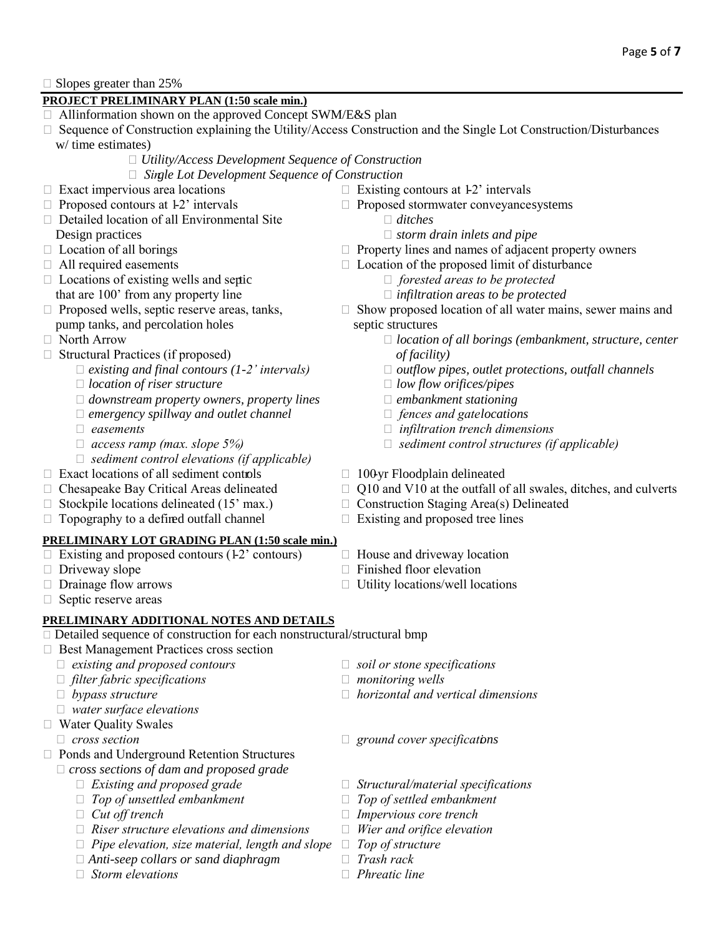$\Box$  Slopes greater than 25%

# **PROJECT PRELIMINARY PLAN (1:50 scale min.)**

- Allinformation shown on the approved Concept SWM/E&S plan
- □ Sequence of Construction explaining the Utility/Access Construction and the Single Lot Construction/Disturbances w/ time estimates)
	- *Utility/Access Development Sequence of Construction*
	- *Single Lot Development Sequence of Construction*
- 
- 
- □ Detailed location of all Environmental Site *ditches* **Design practices** *Storm drain inlets and pipe storm drain inlets and pipe*
- 
- 
- □ Locations of existing wells and septic *image is a forested areas to be protected* that are 100' from any property line *infiltration areas to be protected*
- pump tanks, and percolation holes septic structures
- 
- □ Structural Practices (if proposed) *of facility*)
	-
	- *location of riser structure low flow orifices/pipes*
	- *downstream property owners, property lines embankment stationing*
	- *emergency spillway and outlet channel fences and gate locations*
	-
	-
	- *sediment control elevations (if applicable)*
- $\Box$  Exact locations of all sediment controls  $\Box$  100-yr Floodplain delineated
- 
- 
- $\Box$  Topography to a defined outfall channel  $\Box$  Existing and proposed tree lines

#### **PRELIMINARY LOT GRADING PLAN (1:50 scale min.)**

- $\Box$  Existing and proposed contours (1-2' contours)  $\Box$  House and driveway location
- 
- 
- $\Box$  Septic reserve areas

# **PRELIMINARY ADDITIONAL NOTES AND DETAILS**

- □ Detailed sequence of construction for each nonstructural/structural bmp
- □ Best Management Practices cross section
	- □ existing and proposed contours **solutions** soil or stone specifications
- □ *filter fabric specifications*  $□$  *monitoring wells*
- 
- *water surface elevations*
- □ Water Ouality Swales
	-
- □ Ponds and Underground Retention Structures
	- *cross sections of dam and proposed grade*
		-
		- *Top of unsettled embankment Top of settled embankment*
		-
		- *Riser structure elevations and dimensions Wier and orifice elevation*
		- *Pipe elevation, size material, length and slope Top of structure*
		- *Anti-seep collars or sand diaphragm Trash rack*
		- *Storm elevations Phreatic line*
- $\Box$  Exact impervious area locations  $\Box$  Existing contours at 1-2' intervals
- $\Box$  Proposed contours at 1-2' intervals  $\Box$  Proposed stormwater conveyancesystems
	-
	-
- $\Box$  Location of all borings  $\Box$  Property lines and names of adjacent property owners
- $\Box$  All required easements  $\Box$  Location of the proposed limit of disturbance
	-
	-
- $\Box$  Proposed wells, septic reserve areas, tanks,  $\Box$  Show proposed location of all water mains, sewer mains and
- North Arrow *location of all borings (embankment, structure, center*
	- *existing and final contours (1-2' intervals) outflow pipes, outlet protections, outfall channels*
		-
		-
		-
	- *easements infiltration trench dimensions*
	- *access ramp (max. slope 5%) sediment control structures (if applicable)*
		-
- $\Box$  Chesapeake Bay Critical Areas delineated  $\Box$  Q10 and V10 at the outfall of all swales, ditches, and culverts
- $\Box$  Stockpile locations delineated (15' max.)  $\Box$  Construction Staging Area(s) Delineated
	-
	-
- Driveway slope Finished floor elevation
- $\Box$  Drainage flow arrows  $\Box$  Utility locations/well locations
	- - -
	- *bypass structure horizontal and vertical dimensions*
	- *cross section ground cover specifications*
		- *Existing and proposed grade Structural/material specifications*
			-
		- *Cut off trench Impervious core trench* 
			-
			-
			-
			-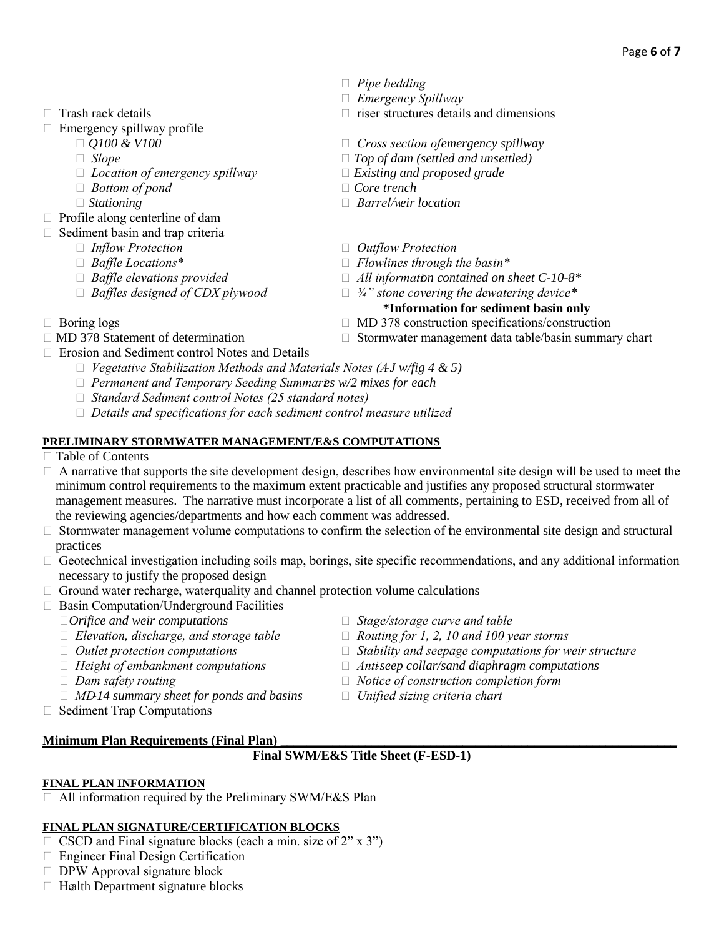- 
- $\Box$  Emergency spillway profile
	- -
	- *Location of emergency spillway Existing and proposed grade*
	- *Bottom of pond Core trench*
	-
- $\Box$  Profile along centerline of dam
- $\Box$  Sediment basin and trap criteria
	-
	-
	-
	- *Baffles designed of CDX plywood ¾" stone covering the dewatering device\**
- *Pipe bedding*
- *Emergency Spillway*
- $\Box$  Trash rack details  $\Box$  riser structures details and dimensions
	- *Q100 & V100 Cross section of emergency spillway*
	- *Slope Top of dam (settled and unsettled)*
		-
		-
	- *Stationing Barrel/weir location*
	- *Inflow Protection Outflow Protection*
	- *Baffle Locations\* Flowlines through the basin\**
	- *Baffle elevations provided All information contained on sheet C-10-8\**
		-

# **\*Information for sediment basin only**

- $\Box$  Boring logs  $\Box$  MD 378 construction specifications/construction
- $\Box$  MD 378 Statement of determination  $\Box$  Stormwater management data table/basin summary chart
- Erosion and Sediment control Notes and Details
	- □ *Vegetative Stabilization Methods and Materials Notes (AJ w/fig 4 & 5)*
	- *Permanent and Temporary Seeding Summaries w/2 mixes for each*
	- *Standard Sediment control Notes (25 standard notes)*
	- *Details and specifications for each sediment control measure utilized*

# **PRELIMINARY STORMWATER MANAGEMENT/E&S COMPUTATIONS**

- □ Table of Contents
- $\Box$  A narrative that supports the site development design, describes how environmental site design will be used to meet the minimum control requirements to the maximum extent practicable and justifies any proposed structural stormwater management measures. The narrative must incorporate a list of all comments, pertaining to ESD, received from all of the reviewing agencies/departments and how each comment was addressed.
- $\Box$  Stormwater management volume computations to confirm the selection of the environmental site design and structural practices
- $\Box$  Geotechnical investigation including soils map, borings, site specific recommendations, and any additional information necessary to justify the proposed design
- $\Box$  Ground water recharge, waterquality and channel protection volume calculations
- $\Box$  Basin Computation/Underground Facilities
	-
	- *Elevation, discharge, and storage table Routing for 1, 2, 10 and 100 year storms*
	-
	-
	-
	- *MD-14 summary sheet for ponds and basins Unified sizing criteria chart*
- $\Box$  Sediment Trap Computations

# **Minimum Plan Requirements (Final Plan)**

# **Final SWM/E&S Title Sheet (F-ESD-1)**

# **FINAL PLAN INFORMATION**

 $\Box$  All information required by the Preliminary SWM/E&S Plan

# **FINAL PLAN SIGNATURE/CERTIFICATION BLOCKS**

- $\Box$  CSCD and Final signature blocks (each a min. size of 2" x 3")
- □ Engineer Final Design Certification
- $\Box$  DPW Approval signature block
- $\Box$  Health Department signature blocks
- *Orifice and weir computations Stage/storage curve and table*
	-
- *Outlet protection computations Stability and seepage computations for weir structure*
- *Height of embankment computations Anti-seep collar/sand diaphragm computations*
- *Dam safety routing Notice of construction completion form*
	-